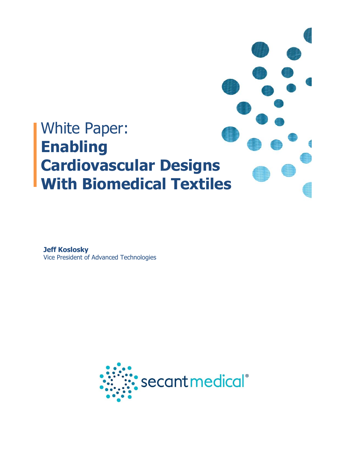

**Jeff Koslosky** Vice President of Advanced Technologies

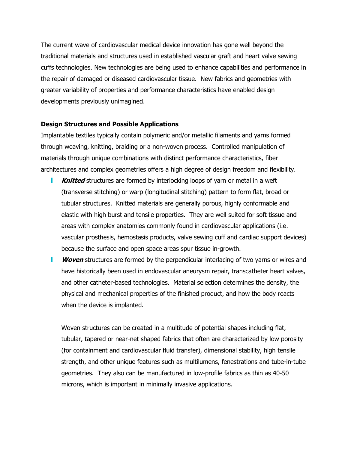The current wave of cardiovascular medical device innovation has gone well beyond the traditional materials and structures used in established vascular graft and heart valve sewing cuffs technologies. New technologies are being used to enhance capabilities and performance in the repair of damaged or diseased cardiovascular tissue. New fabrics and geometries with greater variability of properties and performance characteristics have enabled design developments previously unimagined.

## **Design Structures and Possible Applications**

Implantable textiles typically contain polymeric and/or metallic filaments and yarns formed through weaving, knitting, braiding or a non-woven process. Controlled manipulation of materials through unique combinations with distinct performance characteristics, fiber architectures and complex geometries offers a high degree of design freedom and flexibility.

- L **Knitted** structures are formed by interlocking loops of yarn or metal in a weft (transverse stitching) or warp (longitudinal stitching) pattern to form flat, broad or tubular structures. Knitted materials are generally porous, highly conformable and elastic with high burst and tensile properties. They are well suited for soft tissue and areas with complex anatomies commonly found in cardiovascular applications (i.e. vascular prosthesis, hemostasis products, valve sewing cuff and cardiac support devices) because the surface and open space areas spur tissue in-growth.
- **Woven** structures are formed by the perpendicular interlacing of two yarns or wires and L have historically been used in endovascular aneurysm repair, transcatheter heart valves, and other catheter-based technologies. Material selection determines the density, the physical and mechanical properties of the finished product, and how the body reacts when the device is implanted.

Woven structures can be created in a multitude of potential shapes including flat, tubular, tapered or near-net shaped fabrics that often are characterized by low porosity (for containment and cardiovascular fluid transfer), dimensional stability, high tensile strength, and other unique features such as multilumens, fenestrations and tube-in-tube geometries. They also can be manufactured in low-profile fabrics as thin as 40-50 microns, which is important in minimally invasive applications.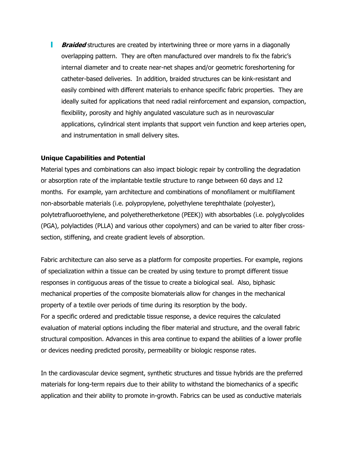**Braided** structures are created by intertwining three or more yarns in a diagonally overlapping pattern. They are often manufactured over mandrels to fix the fabric's internal diameter and to create near-net shapes and/or geometric foreshortening for catheter-based deliveries. In addition, braided structures can be kink-resistant and easily combined with different materials to enhance specific fabric properties. They are ideally suited for applications that need radial reinforcement and expansion, compaction, flexibility, porosity and highly angulated vasculature such as in neurovascular applications, cylindrical stent implants that support vein function and keep arteries open, and instrumentation in small delivery sites.

## **Unique Capabilities and Potential**

Material types and combinations can also impact biologic repair by controlling the degradation or absorption rate of the implantable textile structure to range between 60 days and 12 months. For example, yarn architecture and combinations of monofilament or multifilament non-absorbable materials (i.e. polypropylene, polyethylene terephthalate (polyester), polytetrafluoroethylene, and polyetheretherketone (PEEK)) with absorbables (i.e. polyglycolides (PGA), polylactides (PLLA) and various other copolymers) and can be varied to alter fiber crosssection, stiffening, and create gradient levels of absorption.

Fabric architecture can also serve as a platform for composite properties. For example, regions of specialization within a tissue can be created by using texture to prompt different tissue responses in contiguous areas of the tissue to create a biological seal. Also, biphasic mechanical properties of the composite biomaterials allow for changes in the mechanical property of a textile over periods of time during its resorption by the body. For a specific ordered and predictable tissue response, a device requires the calculated evaluation of material options including the fiber material and structure, and the overall fabric structural composition. Advances in this area continue to expand the abilities of a lower profile or devices needing predicted porosity, permeability or biologic response rates.

In the cardiovascular device segment, synthetic structures and tissue hybrids are the preferred materials for long-term repairs due to their ability to withstand the biomechanics of a specific application and their ability to promote in-growth. Fabrics can be used as conductive materials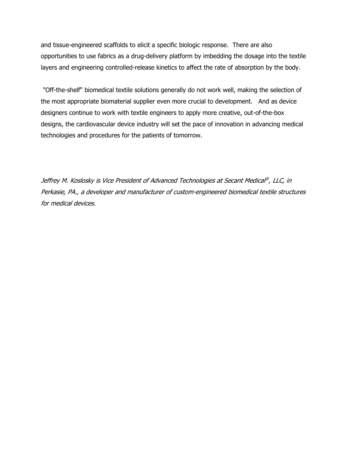and tissue-engineered scaffolds to elicit a specific biologic response. There are also opportunities to use fabrics as a drug-delivery platform by imbedding the dosage into the textile layers and engineering controlled-release kinetics to affect the rate of absorption by the body.

"Off-the-shelf" biomedical textile solutions generally do not work well, making the selection of the most appropriate biomaterial supplier even more crucial to development. And as device designers continue to work with textile engineers to apply more creative, out-of-the-box designs, the cardiovascular device industry will set the pace of innovation in advancing medical technologies and procedures for the patients of tomorrow.

Jeffrey M. Koslosky is Vice President of Advanced Technologies at Secant Medical®, LLC, in Perkasie, PA., a developer and manufacturer of custom-engineered biomedical textile structures for medical devices.